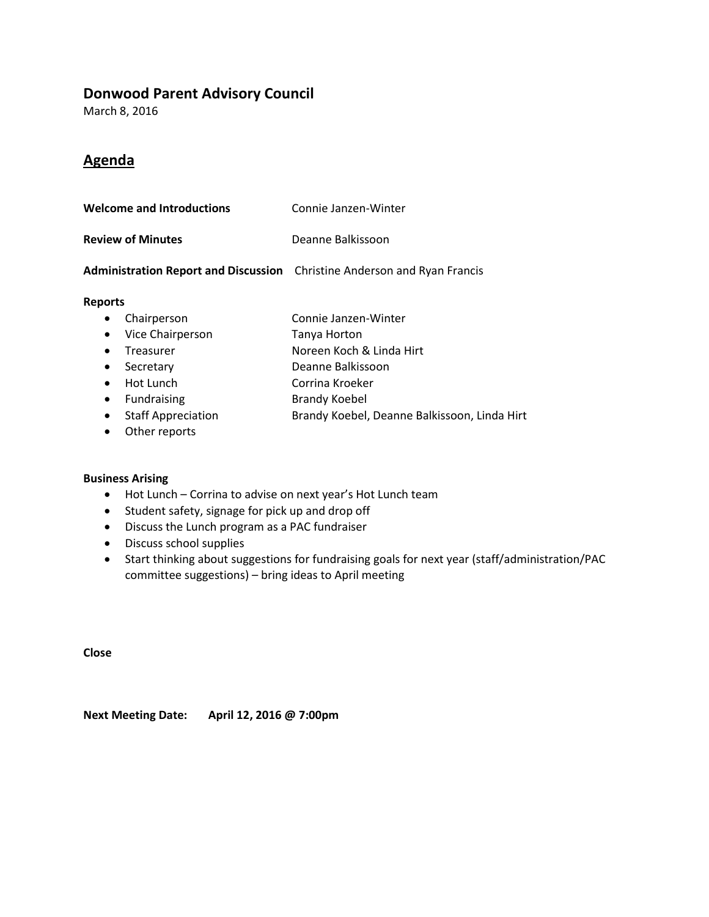### **Donwood Parent Advisory Council**

March 8, 2016

# **Agenda**

| <b>Welcome and Introductions</b> | Connie Janzen-Winter |
|----------------------------------|----------------------|
|                                  |                      |

**Review of Minutes** Deanne Balkissoon

#### **Administration Report and Discussion** Christine Anderson and Ryan Francis

#### **Reports**

- Chairperson Connie Janzen-Winter
- Vice Chairperson Tanya Horton
- Treasurer Noreen Koch & Linda Hirt
- Secretary Deanne Balkissoon
- Hot Lunch Corrina Kroeker
- Fundraising Brandy Koebel
- Staff Appreciation **Brandy Koebel, Deanne Balkissoon, Linda Hirt**
- Other reports

#### **Business Arising**

- Hot Lunch Corrina to advise on next year's Hot Lunch team
- Student safety, signage for pick up and drop off
- Discuss the Lunch program as a PAC fundraiser
- Discuss school supplies
- Start thinking about suggestions for fundraising goals for next year (staff/administration/PAC committee suggestions) – bring ideas to April meeting

**Close**

**Next Meeting Date: April 12, 2016 @ 7:00pm**